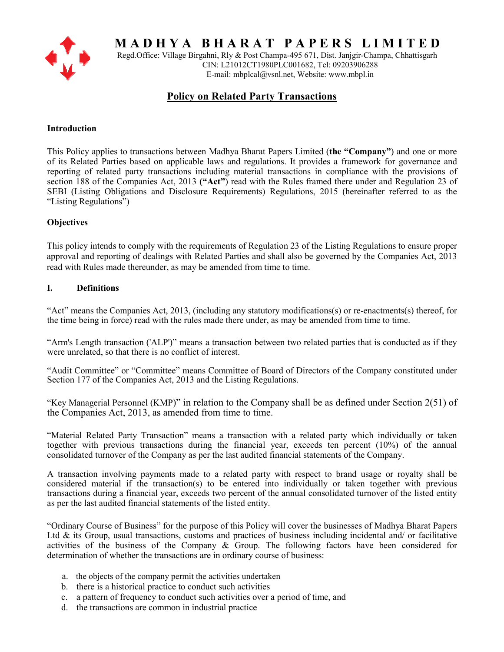

**M A D H Y A B H A R A T P A P E R S L I M I T E D** 

Regd.Office: Village Birgahni, Rly & Post Champa-495 671, Dist. Janjgir-Champa, Chhattisgarh CIN: L21012CT1980PLC001682, Tel: 09203906288 E-mail: mbplcal@vsnl.net, Website: www.mbpl.in

# **Policy on Related Party Transactions**

# **Introduction**

This Policy applies to transactions between Madhya Bharat Papers Limited (**the "Company"**) and one or more of its Related Parties based on applicable laws and regulations. It provides a framework for governance and reporting of related party transactions including material transactions in compliance with the provisions of section 188 of the Companies Act, 2013 **("Act"**) read with the Rules framed there under and Regulation 23 of SEBI (Listing Obligations and Disclosure Requirements) Regulations, 2015 (hereinafter referred to as the "Listing Regulations")

# **Objectives**

This policy intends to comply with the requirements of Regulation 23 of the Listing Regulations to ensure proper approval and reporting of dealings with Related Parties and shall also be governed by the Companies Act, 2013 read with Rules made thereunder, as may be amended from time to time.

# **I. Definitions**

"Act" means the Companies Act, 2013, (including any statutory modifications(s) or re-enactments(s) thereof, for the time being in force) read with the rules made there under, as may be amended from time to time.

"Arm's Length transaction ('ALP')" means a transaction between two related parties that is conducted as if they were unrelated, so that there is no conflict of interest.

"Audit Committee" or "Committee" means Committee of Board of Directors of the Company constituted under Section 177 of the Companies Act, 2013 and the Listing Regulations.

"Key Managerial Personnel (KMP)" in relation to the Company shall be as defined under Section 2(51) of the Companies Act, 2013, as amended from time to time.

"Material Related Party Transaction" means a transaction with a related party which individually or taken together with previous transactions during the financial year, exceeds ten percent (10%) of the annual consolidated turnover of the Company as per the last audited financial statements of the Company.

A transaction involving payments made to a related party with respect to brand usage or royalty shall be considered material if the transaction(s) to be entered into individually or taken together with previous transactions during a financial year, exceeds two percent of the annual consolidated turnover of the listed entity as per the last audited financial statements of the listed entity.

"Ordinary Course of Business" for the purpose of this Policy will cover the businesses of Madhya Bharat Papers Ltd  $\&$  its Group, usual transactions, customs and practices of business including incidental and/ or facilitative activities of the business of the Company & Group. The following factors have been considered for determination of whether the transactions are in ordinary course of business:

- a. the objects of the company permit the activities undertaken
- b. there is a historical practice to conduct such activities
- c. a pattern of frequency to conduct such activities over a period of time, and
- d. the transactions are common in industrial practice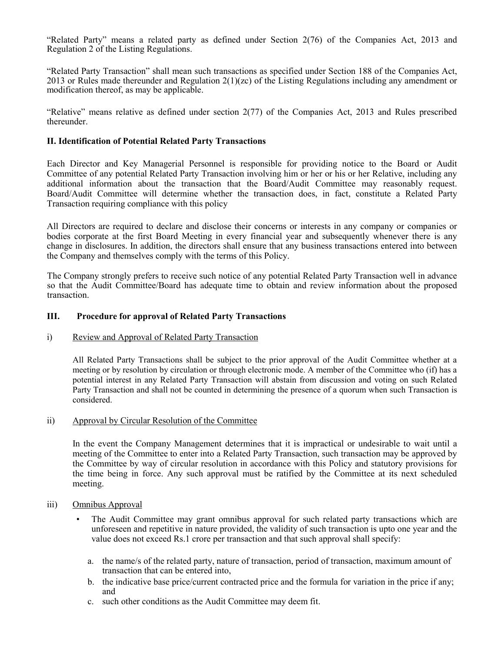"Related Party" means a related party as defined under Section 2(76) of the Companies Act, 2013 and Regulation 2 of the Listing Regulations.

"Related Party Transaction" shall mean such transactions as specified under Section 188 of the Companies Act, 2013 or Rules made thereunder and Regulation  $2(1)(zc)$  of the Listing Regulations including any amendment or modification thereof, as may be applicable.

"Relative" means relative as defined under section 2(77) of the Companies Act, 2013 and Rules prescribed thereunder.

### **II. Identification of Potential Related Party Transactions**

Each Director and Key Managerial Personnel is responsible for providing notice to the Board or Audit Committee of any potential Related Party Transaction involving him or her or his or her Relative, including any additional information about the transaction that the Board/Audit Committee may reasonably request. Board/Audit Committee will determine whether the transaction does, in fact, constitute a Related Party Transaction requiring compliance with this policy

All Directors are required to declare and disclose their concerns or interests in any company or companies or bodies corporate at the first Board Meeting in every financial year and subsequently whenever there is any change in disclosures. In addition, the directors shall ensure that any business transactions entered into between the Company and themselves comply with the terms of this Policy.

The Company strongly prefers to receive such notice of any potential Related Party Transaction well in advance so that the Audit Committee/Board has adequate time to obtain and review information about the proposed transaction.

# **III. Procedure for approval of Related Party Transactions**

#### i) Review and Approval of Related Party Transaction

All Related Party Transactions shall be subject to the prior approval of the Audit Committee whether at a meeting or by resolution by circulation or through electronic mode. A member of the Committee who (if) has a potential interest in any Related Party Transaction will abstain from discussion and voting on such Related Party Transaction and shall not be counted in determining the presence of a quorum when such Transaction is considered.

# ii) Approval by Circular Resolution of the Committee

In the event the Company Management determines that it is impractical or undesirable to wait until a meeting of the Committee to enter into a Related Party Transaction, such transaction may be approved by the Committee by way of circular resolution in accordance with this Policy and statutory provisions for the time being in force. Any such approval must be ratified by the Committee at its next scheduled meeting.

#### iii) Omnibus Approval

- The Audit Committee may grant omnibus approval for such related party transactions which are unforeseen and repetitive in nature provided, the validity of such transaction is upto one year and the value does not exceed Rs.1 crore per transaction and that such approval shall specify:
	- a. the name/s of the related party, nature of transaction, period of transaction, maximum amount of transaction that can be entered into,
	- b. the indicative base price/current contracted price and the formula for variation in the price if any; and
	- c. such other conditions as the Audit Committee may deem fit.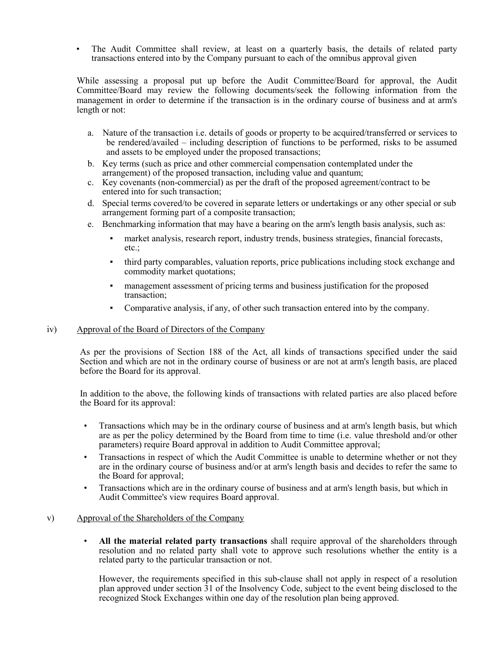• The Audit Committee shall review, at least on a quarterly basis, the details of related party transactions entered into by the Company pursuant to each of the omnibus approval given

While assessing a proposal put up before the Audit Committee/Board for approval, the Audit Committee/Board may review the following documents/seek the following information from the management in order to determine if the transaction is in the ordinary course of business and at arm's length or not:

- a. Nature of the transaction i.e. details of goods or property to be acquired/transferred or services to be rendered/availed – including description of functions to be performed, risks to be assumed and assets to be employed under the proposed transactions;
- b. Key terms (such as price and other commercial compensation contemplated under the arrangement) of the proposed transaction, including value and quantum;
- c. Key covenants (non-commercial) as per the draft of the proposed agreement/contract to be entered into for such transaction;
- d. Special terms covered/to be covered in separate letters or undertakings or any other special or sub arrangement forming part of a composite transaction;
- e. Benchmarking information that may have a bearing on the arm's length basis analysis, such as:
	- market analysis, research report, industry trends, business strategies, financial forecasts, etc.;
	- third party comparables, valuation reports, price publications including stock exchange and commodity market quotations;
	- management assessment of pricing terms and business justification for the proposed transaction;
	- Comparative analysis, if any, of other such transaction entered into by the company.

### iv) Approval of the Board of Directors of the Company

As per the provisions of Section 188 of the Act, all kinds of transactions specified under the said Section and which are not in the ordinary course of business or are not at arm's length basis, are placed before the Board for its approval.

In addition to the above, the following kinds of transactions with related parties are also placed before the Board for its approval:

- Transactions which may be in the ordinary course of business and at arm's length basis, but which are as per the policy determined by the Board from time to time (i.e. value threshold and/or other parameters) require Board approval in addition to Audit Committee approval;
- Transactions in respect of which the Audit Committee is unable to determine whether or not they are in the ordinary course of business and/or at arm's length basis and decides to refer the same to the Board for approval;
- Transactions which are in the ordinary course of business and at arm's length basis, but which in Audit Committee's view requires Board approval.

# v) Approval of the Shareholders of the Company

• **All the material related party transactions** shall require approval of the shareholders through resolution and no related party shall vote to approve such resolutions whether the entity is a related party to the particular transaction or not.

However, the requirements specified in this sub-clause shall not apply in respect of a resolution plan approved under section 31 of the Insolvency Code, subject to the event being disclosed to the recognized Stock Exchanges within one day of the resolution plan being approved.